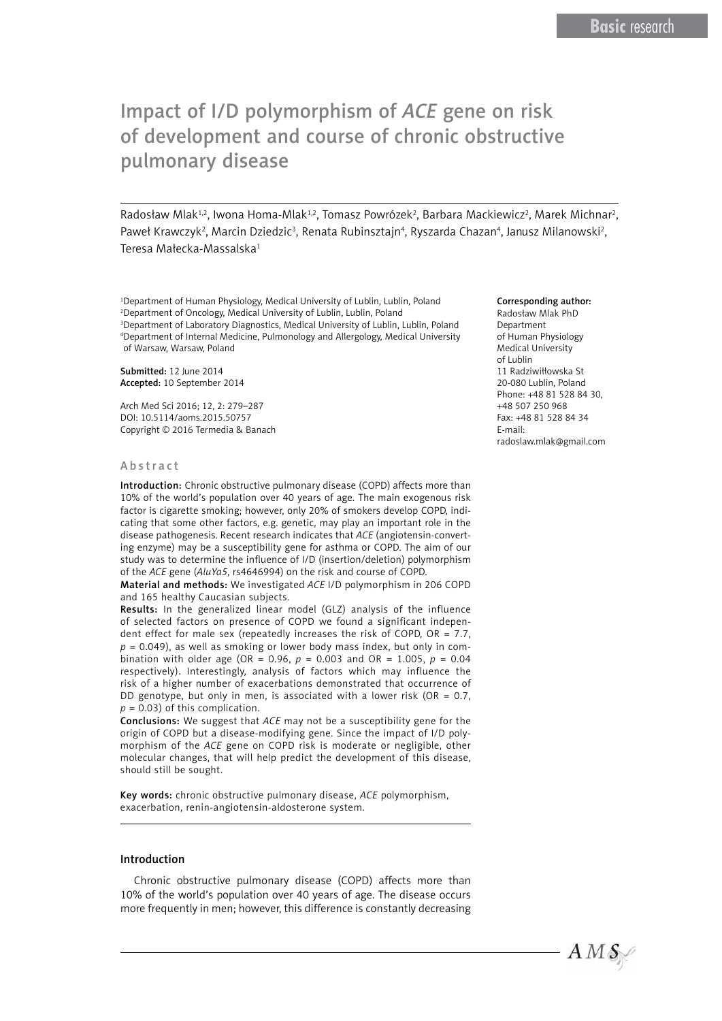# Impact of I/D polymorphism of *ACE* gene on risk of development and course of chronic obstructive pulmonary disease

Radosław Mlak<sup>1,2</sup>, Iwona Homa-Mlak<sup>1,2</sup>, Tomasz Powrózek<sup>2</sup>, Barbara Mackiewicz<sup>2</sup>, Marek Michnar<sup>2</sup>, Paweł Krawczyk<sup>2</sup>, Marcin Dziedzic<sup>3</sup>, Renata Rubinsztajn<sup>4</sup>, Ryszarda Chazan<sup>4</sup>, Janusz Milanowski<sup>2</sup>, Teresa Małecka-Massalska1

<sup>1</sup>Department of Human Physiology, Medical University of Lublin, Lublin, Poland 2 Department of Oncology, Medical University of Lublin, Lublin, Poland 3 Department of Laboratory Diagnostics, Medical University of Lublin, Lublin, Poland 4 Department of Internal Medicine, Pulmonology and Allergology, Medical University of Warsaw, Warsaw, Poland

Submitted: 12 June 2014 Accepted: 10 September 2014

Arch Med Sci 2016; 12, 2: 279–287 DOI: 10.5114/aoms.2015.50757 Copyright © 2016 Termedia & Banach

#### Abstract

Introduction: Chronic obstructive pulmonary disease (COPD) affects more than 10% of the world's population over 40 years of age. The main exogenous risk factor is cigarette smoking; however, only 20% of smokers develop COPD, indicating that some other factors, e.g. genetic, may play an important role in the disease pathogenesis. Recent research indicates that *ACE* (angiotensin-converting enzyme) may be a susceptibility gene for asthma or COPD. The aim of our study was to determine the influence of I/D (insertion/deletion) polymorphism of the *ACE* gene (*AluYa5*, rs4646994) on the risk and course of COPD.

Material and methods: We investigated *ACE* I/D polymorphism in 206 COPD and 165 healthy Caucasian subjects.

Results: In the generalized linear model (GLZ) analysis of the influence of selected factors on presence of COPD we found a significant independent effect for male sex (repeatedly increases the risk of COPD,  $OR = 7.7$ ,  $p = 0.049$ ), as well as smoking or lower body mass index, but only in combination with older age (OR = 0.96, *p* = 0.003 and OR = 1.005, *p* = 0.04 respectively). Interestingly, analysis of factors which may influence the risk of a higher number of exacerbations demonstrated that occurrence of DD genotype, but only in men, is associated with a lower risk (OR =  $0.7$ ,  $p = 0.03$ ) of this complication.

Conclusions: We suggest that *ACE* may not be a susceptibility gene for the origin of COPD but a disease-modifying gene. Since the impact of I/D polymorphism of the *ACE* gene on COPD risk is moderate or negligible, other molecular changes, that will help predict the development of this disease, should still be sought.

Key words: chronic obstructive pulmonary disease, *ACE* polymorphism, exacerbation, renin-angiotensin-aldosterone system.

### Introduction

Chronic obstructive pulmonary disease (COPD) affects more than 10% of the world's population over 40 years of age. The disease occurs more frequently in men; however, this difference is constantly decreasing

#### Corresponding author:

Radosław Mlak PhD Department of Human Physiology Medical University of Lublin 11 Radziwiłłowska St 20-080 Lublin, Poland Phone: +48 81 528 84 30, +48 507 250 968 Fax: +48 81 528 84 34 E-mail: [radoslaw.mlak@gmail.com](mailto:radoslaw.mlak@gmail.com)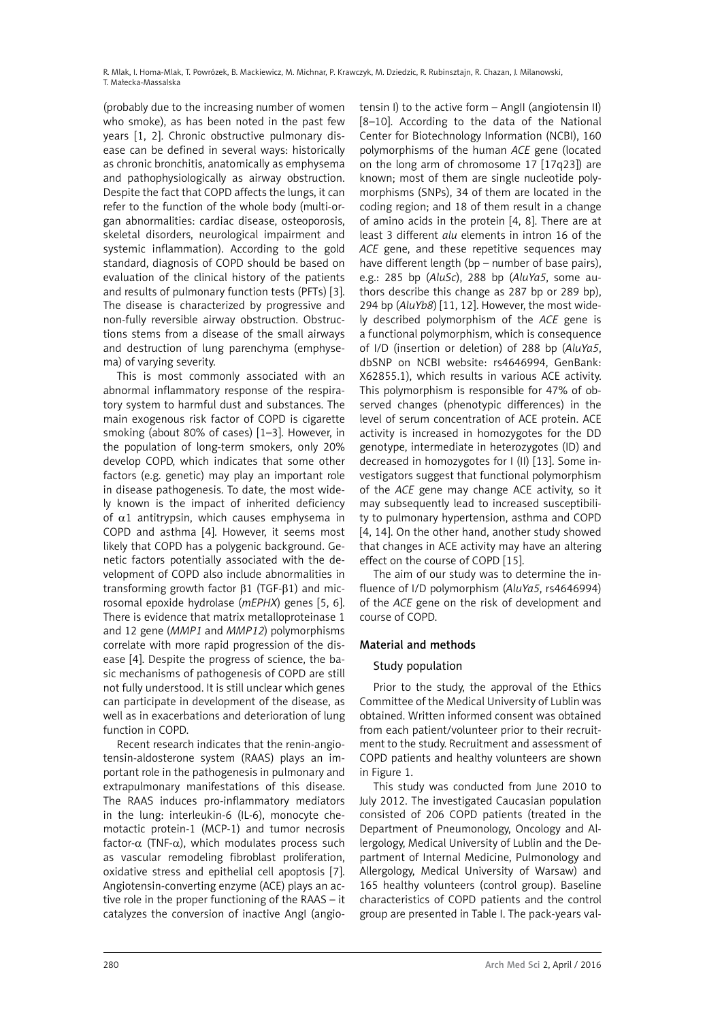(probably due to the increasing number of women who smoke), as has been noted in the past few years [1, 2]. Chronic obstructive pulmonary disease can be defined in several ways: historically as chronic bronchitis, anatomically as emphysema and pathophysiologically as airway obstruction. Despite the fact that COPD affects the lungs, it can refer to the function of the whole body (multi-organ abnormalities: cardiac disease, osteoporosis, skeletal disorders, neurological impairment and systemic inflammation). According to the gold standard, diagnosis of COPD should be based on evaluation of the clinical history of the patients and results of pulmonary function tests (PFTs) [3]. The disease is characterized by progressive and non-fully reversible airway obstruction. Obstructions stems from a disease of the small airways and destruction of lung parenchyma (emphysema) of varying severity.

This is most commonly associated with an abnormal inflammatory response of the respiratory system to harmful dust and substances. The main exogenous risk factor of COPD is cigarette smoking (about 80% of cases) [1–3]. However, in the population of long-term smokers, only 20% develop COPD, which indicates that some other factors (e.g. genetic) may play an important role in disease pathogenesis. To date, the most widely known is the impact of inherited deficiency of  $\alpha$ 1 antitrypsin, which causes emphysema in COPD and asthma [4]. However, it seems most likely that COPD has a polygenic background. Genetic factors potentially associated with the development of COPD also include abnormalities in transforming growth factor β1 (TGF-β1) and microsomal epoxide hydrolase (*mEPHX*) genes [5, 6]. There is evidence that matrix metalloproteinase 1 and 12 gene (*MMP1* and *MMP12*) polymorphisms correlate with more rapid progression of the disease [4]. Despite the progress of science, the basic mechanisms of pathogenesis of COPD are still not fully understood. It is still unclear which genes can participate in development of the disease, as well as in exacerbations and deterioration of lung function in COPD.

Recent research indicates that the renin-angiotensin-aldosterone system (RAAS) plays an important role in the pathogenesis in pulmonary and extrapulmonary manifestations of this disease. The RAAS induces pro-inflammatory mediators in the lung: interleukin-6 (IL-6), monocyte chemotactic protein-1 (MCP-1) and tumor necrosis factor-α (TNF-α), which modulates process such as vascular remodeling fibroblast proliferation, oxidative stress and epithelial cell apoptosis [7]. Angiotensin-converting enzyme (ACE) plays an active role in the proper functioning of the RAAS – it catalyzes the conversion of inactive AngI (angiotensin I) to the active form – AngII (angiotensin II) [8–10]. According to the data of the National Center for Biotechnology Information (NCBI), 160 polymorphisms of the human *ACE* gene (located on the long arm of chromosome 17 [17q23]) are known; most of them are single nucleotide polymorphisms (SNPs), 34 of them are located in the coding region; and 18 of them result in a change of amino acids in the protein [4, 8]. There are at least 3 different *alu* elements in intron 16 of the ACE gene, and these repetitive sequences may have different length (bp – number of base pairs), e.g.: 285 bp (*AluSc*), 288 bp (*AluYa5*, some authors describe this change as 287 bp or 289 bp), 294 bp (*AluYb8*) [11, 12]. However, the most widely described polymorphism of the *ACE* gene is a functional polymorphism, which is consequence of I/D (insertion or deletion) of 288 bp (*AluYa5*, dbSNP on NCBI website: rs4646994, GenBank: X62855.1), which results in various ACE activity. This polymorphism is responsible for 47% of observed changes (phenotypic differences) in the level of serum concentration of ACE protein. ACE activity is increased in homozygotes for the DD genotype, intermediate in heterozygotes (ID) and decreased in homozygotes for I (II) [13]. Some investigators suggest that functional polymorphism of the *ACE* gene may change ACE activity, so it may subsequently lead to increased susceptibility to pulmonary hypertension, asthma and COPD [4, 14]. On the other hand, another study showed that changes in ACE activity may have an altering effect on the course of COPD [15].

The aim of our study was to determine the influence of I/D polymorphism (*AluYa5*, rs4646994) of the *ACE* gene on the risk of development and course of COPD.

# Material and methods

# Study population

Prior to the study, the approval of the Ethics Committee of the Medical University of Lublin was obtained. Written informed consent was obtained from each patient/volunteer prior to their recruitment to the study. Recruitment and assessment of COPD patients and healthy volunteers are shown in Figure 1.

This study was conducted from June 2010 to July 2012. The investigated Caucasian population consisted of 206 COPD patients (treated in the Department of Pneumonology, Oncology and Allergology, Medical University of Lublin and the Department of Internal Medicine, Pulmonology and Allergology, Medical University of Warsaw) and 165 healthy volunteers (control group). Baseline characteristics of COPD patients and the control group are presented in Table I. The pack-years val-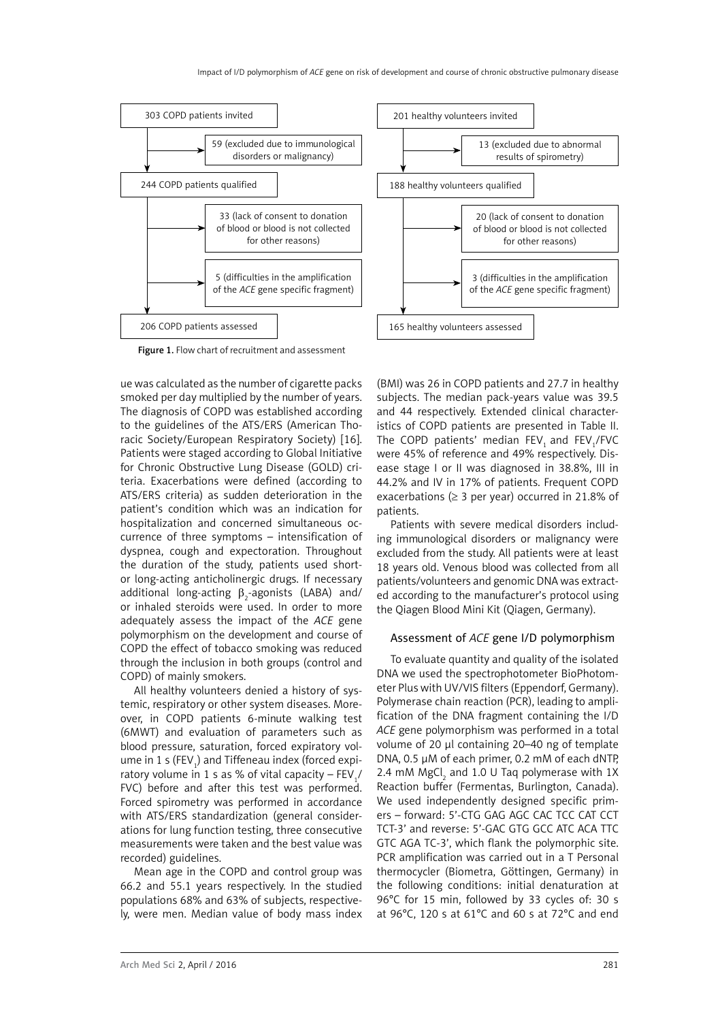

Figure 1. Flow chart of recruitment and assessment

ue was calculated as the number of cigarette packs smoked per day multiplied by the number of years. The diagnosis of COPD was established according to the guidelines of the ATS/ERS (American Thoracic Society/European Respiratory Society) [16]. Patients were staged according to Global Initiative for Chronic Obstructive Lung Disease (GOLD) criteria. Exacerbations were defined (according to ATS/ERS criteria) as sudden deterioration in the patient's condition which was an indication for hospitalization and concerned simultaneous occurrence of three symptoms – intensification of dyspnea, cough and expectoration. Throughout the duration of the study, patients used shortor long-acting anticholinergic drugs. If necessary additional long-acting  $\beta_{2}$ -agonists (LABA) and/ or inhaled steroids were used. In order to more adequately assess the impact of the *ACE* gene polymorphism on the development and course of COPD the effect of tobacco smoking was reduced through the inclusion in both groups (control and COPD) of mainly smokers.

All healthy volunteers denied a history of systemic, respiratory or other system diseases. Moreover, in COPD patients 6-minute walking test (6MWT) and evaluation of parameters such as blood pressure, saturation, forced expiratory volume in 1 s (FEV $_{\textrm{\tiny{\text{1}}}}$ ) and Tiffeneau index (forced expiratory volume in 1 s as % of vital capacity –  $\mathsf{FEV}_{\mathbf{1}}$ / FVC) before and after this test was performed. Forced spirometry was performed in accordance with ATS/ERS standardization (general considerations for lung function testing, three consecutive measurements were taken and the best value was recorded) guidelines.

Mean age in the COPD and control group was 66.2 and 55.1 years respectively. In the studied populations 68% and 63% of subjects, respectively, were men. Median value of body mass index

(BMI) was 26 in COPD patients and 27.7 in healthy subjects. The median pack-years value was 39.5 and 44 respectively. Extended clinical characteristics of COPD patients are presented in Table II. The COPD patients' median  $FEV_1$  and  $FEV_1$ /FVC were 45% of reference and 49% respectively. Disease stage I or II was diagnosed in 38.8%, III in 44.2% and IV in 17% of patients. Frequent COPD exacerbations ( $\geq$  3 per year) occurred in 21.8% of patients.

Patients with severe medical disorders including immunological disorders or malignancy were excluded from the study. All patients were at least 18 years old. Venous blood was collected from all patients/volunteers and genomic DNA was extracted according to the manufacturer's protocol using the Qiagen Blood Mini Kit (Qiagen, Germany).

### Assessment of *ACE* gene I/D polymorphism

To evaluate quantity and quality of the isolated DNA we used the spectrophotometer BioPhotometer Plus with UV/VIS filters (Eppendorf, Germany). Polymerase chain reaction (PCR), leading to amplification of the DNA fragment containing the I/D *ACE* gene polymorphism was performed in a total volume of 20 μl containing 20–40 ng of template DNA, 0.5 μM of each primer, 0.2 mM of each dNTP, 2.4 mM  $MgCl<sub>2</sub>$  and 1.0 U Taq polymerase with 1X Reaction buffer (Fermentas, Burlington, Canada). We used independently designed specific primers – forward: 5'-CTG GAG AGC CAC TCC CAT CCT TCT-3' and reverse: 5'-GAC GTG GCC ATC ACA TTC GTC AGA TC-3', which flank the polymorphic site. PCR amplification was carried out in a T Personal thermocycler (Biometra, Göttingen, Germany) in the following conditions: initial denaturation at 96°C for 15 min, followed by 33 cycles of: 30 s at 96°C, 120 s at 61°C and 60 s at 72°C and end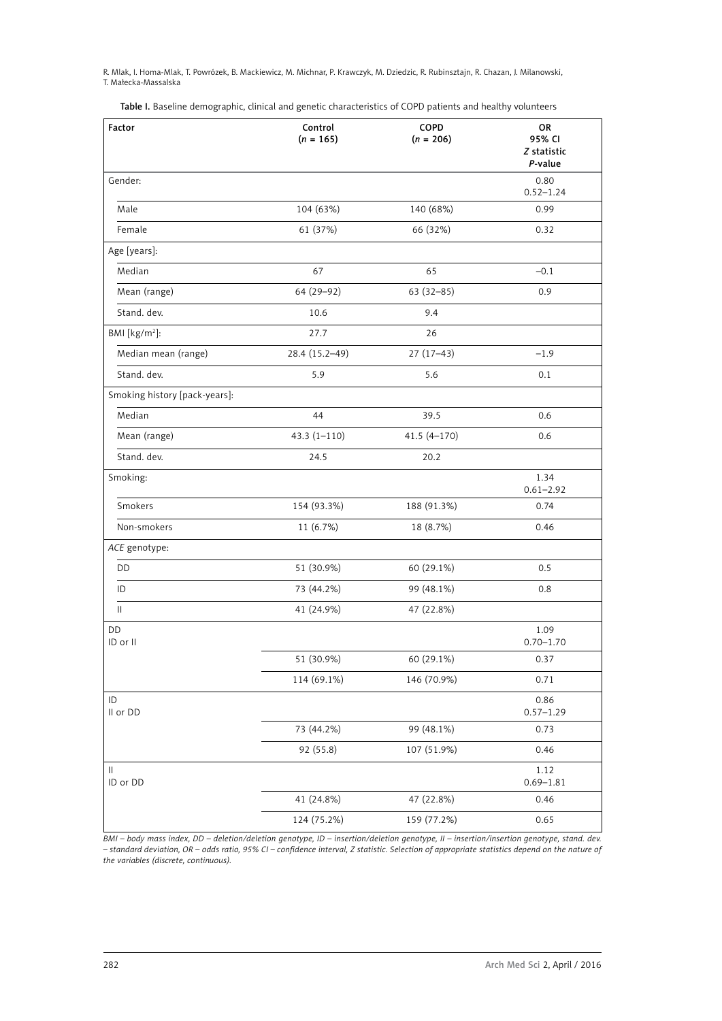|  | Table I. Baseline demographic, clinical and genetic characteristics of COPD patients and healthy volunteers |
|--|-------------------------------------------------------------------------------------------------------------|
|--|-------------------------------------------------------------------------------------------------------------|

| Factor                        | Control<br>$(n = 165)$ | COPD<br>$(n = 206)$ | OR<br>95% CI<br>Z statistic<br>P-value |
|-------------------------------|------------------------|---------------------|----------------------------------------|
| Gender:                       |                        |                     | 0.80<br>$0.52 - 1.24$                  |
| Male                          | 104 (63%)              | 140 (68%)           | 0.99                                   |
| Female                        | 61 (37%)               | 66 (32%)            | 0.32                                   |
| Age [years]:                  |                        |                     |                                        |
| Median                        | 67                     | 65                  | $-0.1$                                 |
| Mean (range)                  | 64 (29-92)             | $63(32-85)$         | 0.9                                    |
| Stand. dev.                   | 10.6                   | 9.4                 |                                        |
| BMI [kg/m <sup>2</sup> ]:     | 27.7                   | 26                  |                                        |
| Median mean (range)           | 28.4 (15.2-49)         | $27(17-43)$         | $-1.9$                                 |
| Stand. dev.                   | 5.9                    | 5.6                 | 0.1                                    |
| Smoking history [pack-years]: |                        |                     |                                        |
| Median                        | 44                     | 39.5                | 0.6                                    |
| Mean (range)                  | $43.3(1 - 110)$        | $41.5(4 - 170)$     | 0.6                                    |
| Stand. dev.                   | 24.5                   | 20.2                |                                        |
| Smoking:                      |                        |                     | 1.34<br>$0.61 - 2.92$                  |
| Smokers                       | 154 (93.3%)            | 188 (91.3%)         | 0.74                                   |
| Non-smokers                   | 11 (6.7%)              | 18 (8.7%)           | 0.46                                   |
| ACE genotype:                 |                        |                     |                                        |
| DD                            | 51 (30.9%)             | 60 (29.1%)          | 0.5                                    |
| ID                            | 73 (44.2%)             | 99 (48.1%)          | 0.8                                    |
| $\ensuremath{\mathsf{II}}$    | 41 (24.9%)             | 47 (22.8%)          |                                        |
| DD<br>ID or II                |                        |                     | 1.09<br>$0.70 - 1.70$                  |
|                               | 51 (30.9%)             | 60 (29.1%)          | 0.37                                   |
|                               | 114 (69.1%)            | 146 (70.9%)         | 0.71                                   |
| ID<br>II or DD                |                        |                     | 0.86<br>$0.57 - 1.29$                  |
|                               | 73 (44.2%)             | 99 (48.1%)          | 0.73                                   |
|                               | 92 (55.8)              | 107 (51.9%)         | 0.46                                   |
| Ш<br>ID or DD                 |                        |                     | 1.12<br>$0.69 - 1.81$                  |
|                               | 41 (24.8%)             | 47 (22.8%)          | 0.46                                   |
|                               | 124 (75.2%)            | 159 (77.2%)         | 0.65                                   |

*BMI – body mass index, DD – deletion/deletion genotype, ID – insertion/deletion genotype, II – insertion/insertion genotype, stand. dev. – standard deviation, OR – odds ratio, 95% CI – confidence interval, Z statistic. Selection of appropriate statistics depend on the nature of the variables (discrete, continuous).*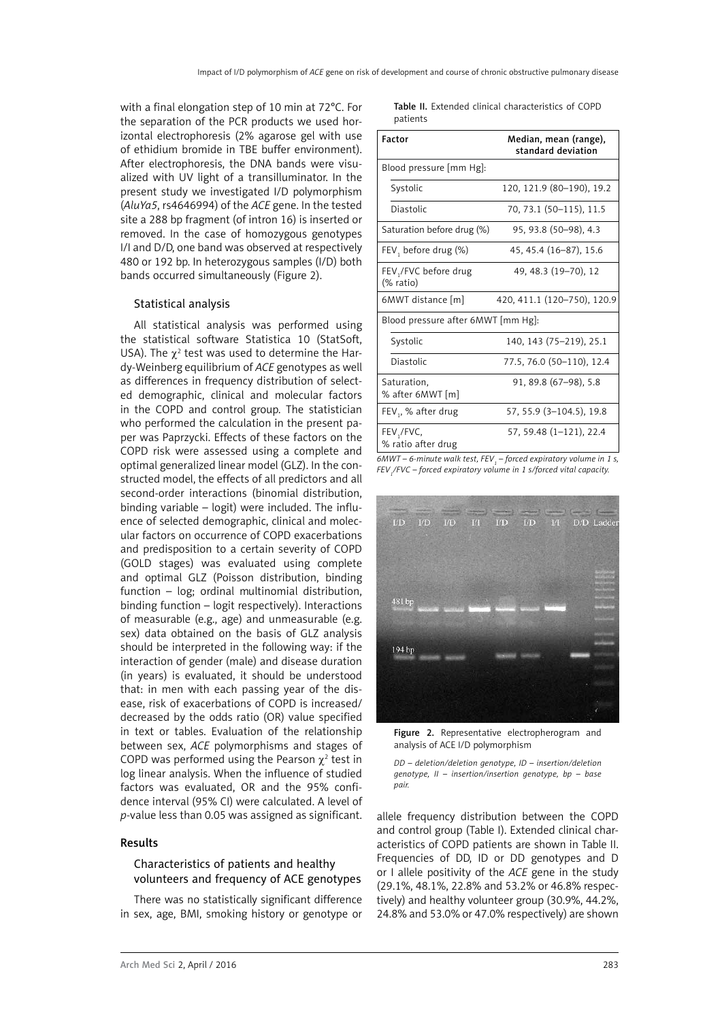with a final elongation step of 10 min at 72°C. For the separation of the PCR products we used horizontal electrophoresis (2% agarose gel with use of ethidium bromide in TBE buffer environment). After electrophoresis, the DNA bands were visualized with UV light of a transilluminator. In the present study we investigated I/D polymorphism (*AluYa5*, rs4646994) of the *ACE* gene. In the tested site a 288 bp fragment (of intron 16) is inserted or removed. In the case of homozygous genotypes I/I and D/D, one band was observed at respectively 480 or 192 bp. In heterozygous samples (I/D) both bands occurred simultaneously (Figure 2).

# Statistical analysis

All statistical analysis was performed using the statistical software Statistica 10 (StatSoft, USA). The  $\chi^2$  test was used to determine the Hardy-Weinberg equilibrium of *ACE* genotypes as well as differences in frequency distribution of selected demographic, clinical and molecular factors in the COPD and control group. The statistician who performed the calculation in the present paper was Paprzycki. Effects of these factors on the COPD risk were assessed using a complete and optimal generalized linear model (GLZ). In the constructed model, the effects of all predictors and all second-order interactions (binomial distribution, binding variable – logit) were included. The influence of selected demographic, clinical and molecular factors on occurrence of COPD exacerbations and predisposition to a certain severity of COPD (GOLD stages) was evaluated using complete and optimal GLZ (Poisson distribution, binding function – log; ordinal multinomial distribution, binding function – logit respectively). Interactions of measurable (e.g., age) and unmeasurable (e.g. sex) data obtained on the basis of GLZ analysis should be interpreted in the following way: if the interaction of gender (male) and disease duration (in years) is evaluated, it should be understood that: in men with each passing year of the disease, risk of exacerbations of COPD is increased/ decreased by the odds ratio (OR) value specified in text or tables. Evaluation of the relationship between sex, *ACE* polymorphisms and stages of COPD was performed using the Pearson  $\chi^2$  test in log linear analysis. When the influence of studied factors was evaluated, OR and the 95% confidence interval (95% CI) were calculated. A level of *p*-value less than 0.05 was assigned as significant.

# Results

### Characteristics of patients and healthy volunteers and frequency of ACE genotypes

There was no statistically significant difference in sex, age, BMI, smoking history or genotype or

Table II. Extended clinical characteristics of COPD patients

| Factor                             | Median, mean (range),<br>standard deviation |
|------------------------------------|---------------------------------------------|
| Blood pressure [mm Hg]:            |                                             |
| Systolic                           | 120, 121.9 (80-190), 19.2                   |
| Diastolic                          | 70, 73.1 (50-115), 11.5                     |
| Saturation before drug (%)         | 95, 93.8 (50-98), 4.3                       |
| FEV, before drug (%)               | 45, 45.4 (16-87), 15.6                      |
| FEV,/FVC before drug<br>(% ratio)  | 49, 48.3 (19-70), 12                        |
| 6MWT distance [m]                  | 420, 411.1 (120-750), 120.9                 |
| Blood pressure after 6MWT [mm Hg]: |                                             |
| Systolic                           | 140, 143 (75-219), 25.1                     |
| Diastolic                          | 77.5, 76.0 (50-110), 12.4                   |
| Saturation,<br>% after 6MWT [m]    | 91, 89.8 (67-98), 5.8                       |
| FEV, % after drug                  | 57, 55.9 (3-104.5), 19.8                    |
| FEV,/FVC,<br>% ratio after drug    | 57, 59.48 (1-121), 22.4                     |

6MWT – 6-minute walk test, FEV<sub>1</sub> – forced expiratory volume in 1 s, *FEV1 /FVC – forced expiratory volume in 1 s/forced vital capacity.*



Figure 2. Representative electropherogram and analysis of ACE I/D polymorphism

*DD – deletion/deletion genotype, ID – insertion/deletion genotype, II – insertion/insertion genotype, bp – base pair.*

allele frequency distribution between the COPD and control group (Table I). Extended clinical characteristics of COPD patients are shown in Table II. Frequencies of DD, ID or DD genotypes and D or I allele positivity of the *ACE* gene in the study (29.1%, 48.1%, 22.8% and 53.2% or 46.8% respectively) and healthy volunteer group (30.9%, 44.2%, 24.8% and 53.0% or 47.0% respectively) are shown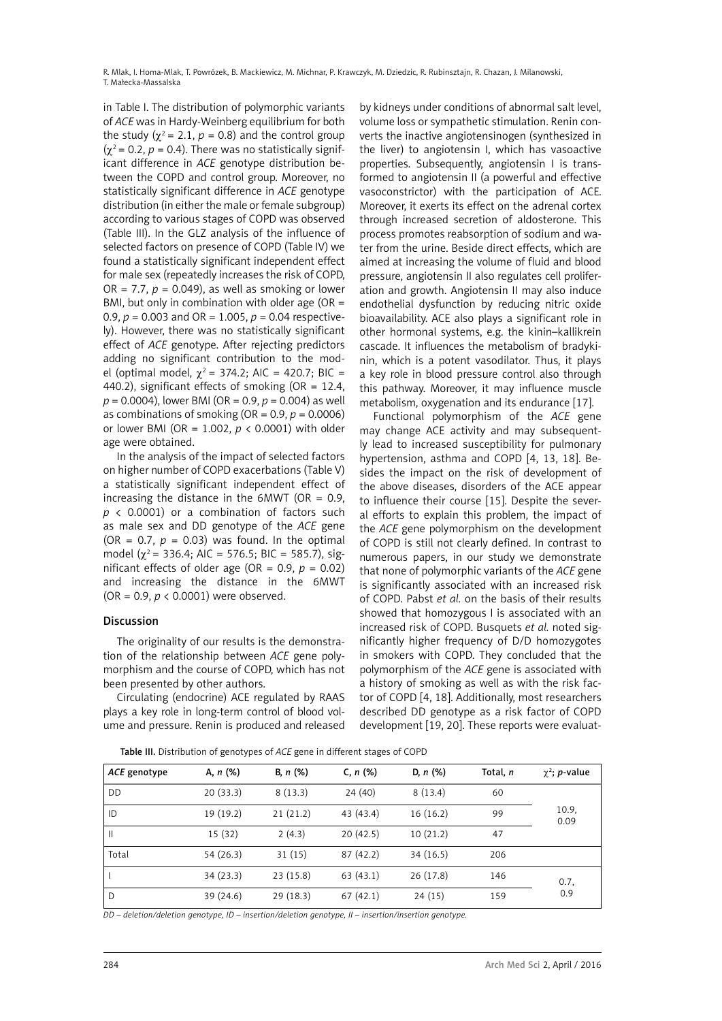in Table I. The distribution of polymorphic variants of *ACE* was in Hardy-Weinberg equilibrium for both the study  $(\chi^2 = 2.1, p = 0.8)$  and the control group  $(\chi^2 = 0.2, p = 0.4)$ . There was no statistically significant difference in *ACE* genotype distribution between the COPD and control group. Moreover, no statistically significant difference in *ACE* genotype distribution (in either the male or female subgroup) according to various stages of COPD was observed (Table III). In the GLZ analysis of the influence of selected factors on presence of COPD (Table IV) we found a statistically significant independent effect for male sex (repeatedly increases the risk of COPD, OR = 7.7,  $p = 0.049$ ), as well as smoking or lower BMI, but only in combination with older age (OR  $=$ 0.9, *p* = 0.003 and OR = 1.005, *p* = 0.04 respectively). However, there was no statistically significant effect of *ACE* genotype. After rejecting predictors adding no significant contribution to the model (optimal model,  $χ² = 374.2$ ; AIC = 420.7; BIC = 440.2), significant effects of smoking (OR = 12.4, *p* = 0.0004), lower BMI (OR = 0.9, *p* = 0.004) as well as combinations of smoking  $(OR = 0.9, p = 0.0006)$ or lower BMI (OR = 1.002, *p* < 0.0001) with older age were obtained.

In the analysis of the impact of selected factors on higher number of COPD exacerbations (Table V) a statistically significant independent effect of increasing the distance in the  $6MWT$  (OR = 0.9, *p* < 0.0001) or a combination of factors such as male sex and DD genotype of the *ACE* gene (OR = 0.7,  $p = 0.03$ ) was found. In the optimal model ( $\gamma^2$  = 336.4; AIC = 576.5; BIC = 585.7), significant effects of older age  $(OR = 0.9, p = 0.02)$ and increasing the distance in the 6MWT (OR = 0.9, *p* < 0.0001) were observed.

### Discussion

The originality of our results is the demonstration of the relationship between *ACE* gene polymorphism and the course of COPD, which has not been presented by other authors.

Circulating (endocrine) ACE regulated by RAAS plays a key role in long-term control of blood volume and pressure. Renin is produced and released by kidneys under conditions of abnormal salt level, volume loss or sympathetic stimulation. Renin converts the inactive angiotensinogen (synthesized in the liver) to angiotensin I, which has vasoactive properties. Subsequently, angiotensin I is transformed to angiotensin II (a powerful and effective vasoconstrictor) with the participation of ACE. Moreover, it exerts its effect on the adrenal cortex through increased secretion of aldosterone. This process promotes reabsorption of sodium and water from the urine. Beside direct effects, which are aimed at increasing the volume of fluid and blood pressure, angiotensin II also regulates cell proliferation and growth. Angiotensin II may also induce endothelial dysfunction by reducing nitric oxide bioavailability. ACE also plays a significant role in other hormonal systems, e.g. the kinin–kallikrein cascade. It influences the metabolism of bradykinin, which is a potent vasodilator. Thus, it plays a key role in blood pressure control also through this pathway. Moreover, it may influence muscle metabolism, oxygenation and its endurance [17].

Functional polymorphism of the *ACE* gene may change ACE activity and may subsequently lead to increased susceptibility for pulmonary hypertension, asthma and COPD [4, 13, 18]. Besides the impact on the risk of development of the above diseases, disorders of the ACE appear to influence their course [15]. Despite the several efforts to explain this problem, the impact of the *ACE* gene polymorphism on the development of COPD is still not clearly defined. In contrast to numerous papers, in our study we demonstrate that none of polymorphic variants of the *ACE* gene is significantly associated with an increased risk of COPD. Pabst *et al.* on the basis of their results showed that homozygous I is associated with an increased risk of COPD. Busquets *et al.* noted significantly higher frequency of D/D homozygotes in smokers with COPD. They concluded that the polymorphism of the *ACE* gene is associated with a history of smoking as well as with the risk factor of COPD [4, 18]. Additionally, most researchers described DD genotype as a risk factor of COPD development [19, 20]. These reports were evaluat-

| ACE genotype | A, n (%)  | B, $n(%)$ | C, $n(%)$ | D, $n(%)$ | Total, n | $\chi^2$ ; <i>p</i> -value |
|--------------|-----------|-----------|-----------|-----------|----------|----------------------------|
| DD           | 20(33.3)  | 8(13.3)   | 24 (40)   | 8(13.4)   | 60       |                            |
| ID           | 19 (19.2) | 21(21.2)  | 43 (43.4) | 16(16.2)  | 99       | 10.9,<br>0.09              |
| Ш            | 15 (32)   | 2(4.3)    | 20(42.5)  | 10(21.2)  | 47       |                            |
| Total        | 54 (26.3) | 31(15)    | 87(42.2)  | 34(16.5)  | 206      |                            |
|              | 34(23.3)  | 23(15.8)  | 63(43.1)  | 26(17.8)  | 146      | 0.7,                       |
| D            | 39 (24.6) | 29(18.3)  | 67(42.1)  | 24(15)    | 159      | 0.9                        |

Table III. Distribution of genotypes of *ACE* gene in different stages of COPD

*DD – deletion/deletion genotype, ID – insertion/deletion genotype, II – insertion/insertion genotype.*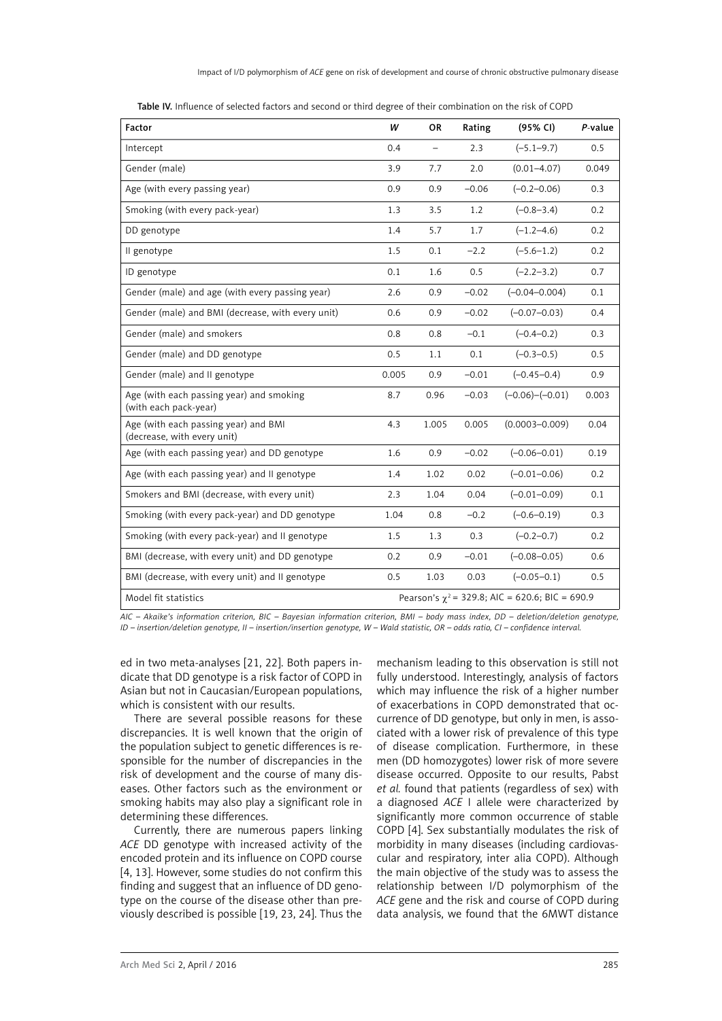| Factor                                                              | w                                                    | OR                       | Rating  | (95% CI)             | P-value |
|---------------------------------------------------------------------|------------------------------------------------------|--------------------------|---------|----------------------|---------|
| Intercept                                                           | 0.4                                                  | $\overline{\phantom{0}}$ | 2.3     | $(-5.1 - 9.7)$       | 0.5     |
| Gender (male)                                                       | 3.9                                                  | 7.7                      | 2.0     | $(0.01 - 4.07)$      | 0.049   |
| Age (with every passing year)                                       | 0.9                                                  | 0.9                      | $-0.06$ | $(-0.2 - 0.06)$      | 0.3     |
| Smoking (with every pack-year)                                      | 1.3                                                  | 3.5                      | 1.2     | $(-0.8 - 3.4)$       | 0.2     |
| DD genotype                                                         | 1.4                                                  | 5.7                      | 1.7     | $(-1.2 - 4.6)$       | 0.2     |
| Il genotype                                                         | 1.5                                                  | 0.1                      | $-2.2$  | $(-5.6 - 1.2)$       | 0.2     |
| ID genotype                                                         | 0.1                                                  | 1.6                      | 0.5     | $(-2.2 - 3.2)$       | 0.7     |
| Gender (male) and age (with every passing year)                     | 2.6                                                  | 0.9                      | $-0.02$ | $(-0.04 - 0.004)$    | 0.1     |
| Gender (male) and BMI (decrease, with every unit)                   | 0.6                                                  | 0.9                      | $-0.02$ | $(-0.07 - 0.03)$     | 0.4     |
| Gender (male) and smokers                                           | 0.8                                                  | 0.8                      | $-0.1$  | $(-0.4 - 0.2)$       | 0.3     |
| Gender (male) and DD genotype                                       | 0.5                                                  | 1.1                      | 0.1     | $(-0.3 - 0.5)$       | 0.5     |
| Gender (male) and II genotype                                       | 0.005                                                | 0.9                      | $-0.01$ | $(-0.45 - 0.4)$      | 0.9     |
| Age (with each passing year) and smoking<br>(with each pack-year)   | 8.7                                                  | 0.96                     | $-0.03$ | $(-0.06)$ $-(-0.01)$ | 0.003   |
| Age (with each passing year) and BMI<br>(decrease, with every unit) | 4.3                                                  | 1.005                    | 0.005   | $(0.0003 - 0.009)$   | 0.04    |
| Age (with each passing year) and DD genotype                        | 1.6                                                  | 0.9                      | $-0.02$ | $(-0.06 - 0.01)$     | 0.19    |
| Age (with each passing year) and II genotype                        | 1.4                                                  | 1.02                     | 0.02    | $(-0.01 - 0.06)$     | 0.2     |
| Smokers and BMI (decrease, with every unit)                         | 2.3                                                  | 1.04                     | 0.04    | $(-0.01 - 0.09)$     | 0.1     |
| Smoking (with every pack-year) and DD genotype                      | 1.04                                                 | 0.8                      | $-0.2$  | $(-0.6 - 0.19)$      | 0.3     |
| Smoking (with every pack-year) and II genotype                      | 1.5                                                  | 1.3                      | 0.3     | $(-0.2 - 0.7)$       | 0.2     |
| BMI (decrease, with every unit) and DD genotype                     | 0.2                                                  | 0.9                      | $-0.01$ | $(-0.08 - 0.05)$     | 0.6     |
| BMI (decrease, with every unit) and II genotype                     | 0.5                                                  | 1.03                     | 0.03    | $(-0.05 - 0.1)$      | 0.5     |
| Model fit statistics                                                | Pearson's $\chi^2$ = 329.8; AIC = 620.6; BIC = 690.9 |                          |         |                      |         |

Table IV. Influence of selected factors and second or third degree of their combination on the risk of COPD

*AIC – Akaike's information criterion, BIC – Bayesian information criterion, BMI – body mass index, DD – deletion/deletion genotype, ID – insertion/deletion genotype, II – insertion/insertion genotype, W – Wald statistic, OR – odds ratio, CI – confidence interval.*

ed in two meta-analyses [21, 22]. Both papers indicate that DD genotype is a risk factor of COPD in Asian but not in Caucasian/European populations, which is consistent with our results.

There are several possible reasons for these discrepancies. It is well known that the origin of the population subject to genetic differences is responsible for the number of discrepancies in the risk of development and the course of many diseases. Other factors such as the environment or smoking habits may also play a significant role in determining these differences.

Currently, there are numerous papers linking *ACE* DD genotype with increased activity of the encoded protein and its influence on COPD course [4, 13]. However, some studies do not confirm this finding and suggest that an influence of DD genotype on the course of the disease other than previously described is possible [19, 23, 24]. Thus the

mechanism leading to this observation is still not fully understood. Interestingly, analysis of factors which may influence the risk of a higher number of exacerbations in COPD demonstrated that occurrence of DD genotype, but only in men, is associated with a lower risk of prevalence of this type of disease complication. Furthermore, in these men (DD homozygotes) lower risk of more severe disease occurred. Opposite to our results, Pabst *et al.* found that patients (regardless of sex) with a diagnosed *ACE* I allele were characterized by significantly more common occurrence of stable COPD [4]. Sex substantially modulates the risk of morbidity in many diseases (including cardiovascular and respiratory, inter alia COPD). Although the main objective of the study was to assess the relationship between I/D polymorphism of the *ACE* gene and the risk and course of COPD during data analysis, we found that the 6MWT distance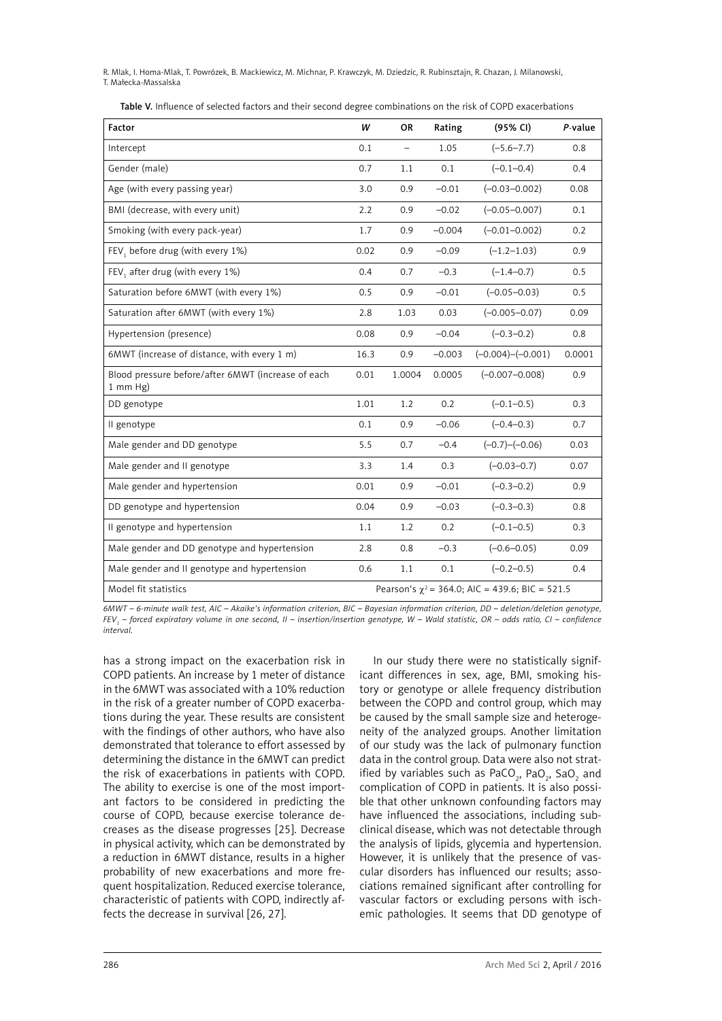| Table V. Influence of selected factors and their second degree combinations on the risk of COPD exacerbations |  |  |  |
|---------------------------------------------------------------------------------------------------------------|--|--|--|
|---------------------------------------------------------------------------------------------------------------|--|--|--|

| Factor                                                         | w                                                    | OR                       | Rating   | (95% CI)               | P-value |  |
|----------------------------------------------------------------|------------------------------------------------------|--------------------------|----------|------------------------|---------|--|
| Intercept                                                      | 0.1                                                  | $\overline{\phantom{a}}$ | 1.05     | $(-5.6 - 7.7)$         | 0.8     |  |
| Gender (male)                                                  | 0.7                                                  | 1.1                      | 0.1      | $(-0.1 - 0.4)$         | 0.4     |  |
| Age (with every passing year)                                  | 3.0                                                  | 0.9                      | $-0.01$  | $(-0.03 - 0.002)$      | 0.08    |  |
| BMI (decrease, with every unit)                                | 2.2                                                  | 0.9                      | $-0.02$  | $(-0.05 - 0.007)$      | 0.1     |  |
| Smoking (with every pack-year)                                 | 1.7                                                  | 0.9                      | $-0.004$ | $(-0.01 - 0.002)$      | 0.2     |  |
| FEV, before drug (with every 1%)                               | 0.02                                                 | 0.9                      | $-0.09$  | $(-1.2 - 1.03)$        | 0.9     |  |
| FEV, after drug (with every 1%)                                | 0.4                                                  | 0.7                      | $-0.3$   | $(-1.4 - 0.7)$         | 0.5     |  |
| Saturation before 6MWT (with every 1%)                         | 0.5                                                  | 0.9                      | $-0.01$  | $(-0.05 - 0.03)$       | 0.5     |  |
| Saturation after 6MWT (with every 1%)                          | 2.8                                                  | 1.03                     | 0.03     | $(-0.005 - 0.07)$      | 0.09    |  |
| Hypertension (presence)                                        | 0.08                                                 | 0.9                      | $-0.04$  | $(-0.3 - 0.2)$         | 0.8     |  |
| 6MWT (increase of distance, with every 1 m)                    | 16.3                                                 | 0.9                      | $-0.003$ | $(-0.004)$ $-(-0.001)$ | 0.0001  |  |
| Blood pressure before/after 6MWT (increase of each<br>1 mm Hg) | 0.01                                                 | 1.0004                   | 0.0005   | $(-0.007 - 0.008)$     | 0.9     |  |
| DD genotype                                                    | 1.01                                                 | 1.2                      | 0.2      | $(-0.1 - 0.5)$         | 0.3     |  |
| Il genotype                                                    | 0.1                                                  | 0.9                      | $-0.06$  | $(-0.4 - 0.3)$         | 0.7     |  |
| Male gender and DD genotype                                    | 5.5                                                  | 0.7                      | $-0.4$   | $(-0.7)$ - $(-0.06)$   | 0.03    |  |
| Male gender and II genotype                                    | 3.3                                                  | 1.4                      | 0.3      | $(-0.03 - 0.7)$        | 0.07    |  |
| Male gender and hypertension                                   | 0.01                                                 | 0.9                      | $-0.01$  | $(-0.3 - 0.2)$         | 0.9     |  |
| DD genotype and hypertension                                   | 0.04                                                 | 0.9                      | $-0.03$  | $(-0.3 - 0.3)$         | 0.8     |  |
| II genotype and hypertension                                   | 1.1                                                  | 1.2                      | 0.2      | $(-0.1 - 0.5)$         | 0.3     |  |
| Male gender and DD genotype and hypertension                   | 2.8                                                  | 0.8                      | $-0.3$   | $(-0.6 - 0.05)$        | 0.09    |  |
| Male gender and II genotype and hypertension                   | 0.6                                                  | 1.1                      | 0.1      | $(-0.2 - 0.5)$         | 0.4     |  |
| Model fit statistics                                           | Pearson's $\chi^2$ = 364.0; AIC = 439.6; BIC = 521.5 |                          |          |                        |         |  |

*6MWT – 6-minute walk test, AIC – Akaike's information criterion, BIC – Bayesian information criterion, DD – deletion/deletion genotype, FEV1 – forced expiratory volume in one second, II – insertion/insertion genotype, W – Wald statistic, OR – odds ratio, CI – confidence interval.*

has a strong impact on the exacerbation risk in COPD patients. An increase by 1 meter of distance in the 6MWT was associated with a 10% reduction in the risk of a greater number of COPD exacerbations during the year. These results are consistent with the findings of other authors, who have also demonstrated that tolerance to effort assessed by determining the distance in the 6MWT can predict the risk of exacerbations in patients with COPD. The ability to exercise is one of the most important factors to be considered in predicting the course of COPD, because exercise tolerance decreases as the disease progresses [25]. Decrease in physical activity, which can be demonstrated by a reduction in 6MWT distance, results in a higher probability of new exacerbations and more frequent hospitalization. Reduced exercise tolerance, characteristic of patients with COPD, indirectly affects the decrease in survival [26, 27].

In our study there were no statistically significant differences in sex, age, BMI, smoking history or genotype or allele frequency distribution between the COPD and control group, which may be caused by the small sample size and heterogeneity of the analyzed groups. Another limitation of our study was the lack of pulmonary function data in the control group. Data were also not stratified by variables such as PaCO<sub>2</sub>, PaO<sub>2</sub>, SaO<sub>2</sub> and complication of COPD in patients. It is also possible that other unknown confounding factors may have influenced the associations, including subclinical disease, which was not detectable through the analysis of lipids, glycemia and hypertension. However, it is unlikely that the presence of vascular disorders has influenced our results; associations remained significant after controlling for vascular factors or excluding persons with ischemic pathologies. It seems that DD genotype of